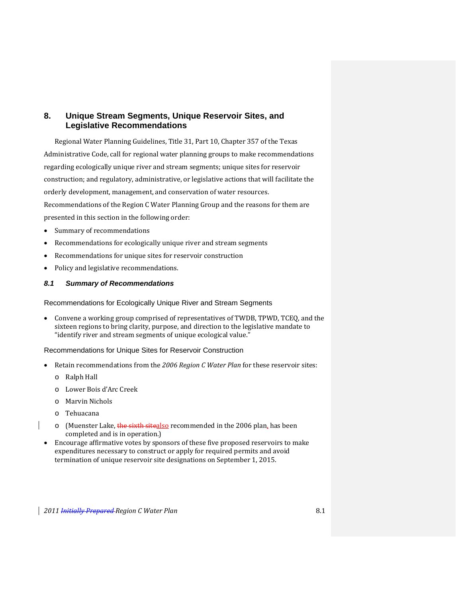# **8. Unique Stream Segments, Unique Reservoir Sites, and Legislative Recommendations**

Regional Water Planning Guidelines, Title 31, Part 10, Chapter 357 of the Texas Administrative Code, call for regional water planning groups to make recommendations regarding ecologically unique river and stream segments; unique sites for reservoir construction; and regulatory, administrative, or legislative actions that will facilitate the orderly development, management, and conservation of water resources. Recommendations of the Region C Water Planning Group and the reasons for them are presented in this section in the following order:

- Summary of recommendations
- Recommendations for ecologically unique river and stream segments
- Recommendations for unique sites for reservoir construction
- Policy and legislative recommendations.

# *8.1 Summary of Recommendations*

Recommendations for Ecologically Unique River and Stream Segments

 Convene a working group comprised of representatives of TWDB, TPWD, TCEQ, and the sixteen regions to bring clarity, purpose, and direction to the legislative mandate to "identify river and stream segments of unique ecological value."

Recommendations for Unique Sites for Reservoir Construction

- Retain recommendations from the *2006 Region C Water Plan* for these reservoir sites:
	- o Ralph Hall
	- o Lower Bois d'Arc Creek
	- o Marvin Nichols
	- o Tehuacana
	- $\circ$  (Muenster Lake, the sixth sitealso recommended in the 2006 plan, has been completed and is in operation.)
- Encourage affirmative votes by sponsors of these five proposed reservoirs to make expenditures necessary to construct or apply for required permits and avoid termination of unique reservoir site designations on September 1, 2015.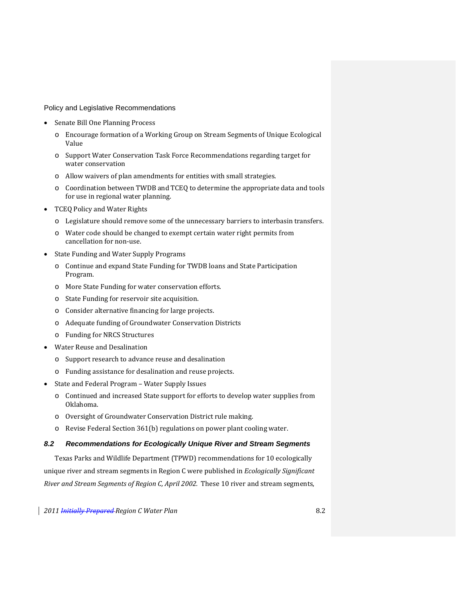Policy and Legislative Recommendations

- Senate Bill One Planning Process
	- o Encourage formation of a Working Group on Stream Segments of Unique Ecological Value
	- o Support Water Conservation Task Force Recommendations regarding target for water conservation
	- o Allow waivers of plan amendments for entities with small strategies.
	- o Coordination between TWDB and TCEQ to determine the appropriate data and tools for use in regional water planning.
- TCEQ Policy and Water Rights
	- o Legislature should remove some of the unnecessary barriers to interbasin transfers.
	- o Water code should be changed to exempt certain water right permits from cancellation for non‐use.
- State Funding and Water Supply Programs
	- o Continue and expand State Funding for TWDB loans and State Participation Program.
	- o More State Funding for water conservation efforts.
	- o State Funding for reservoir site acquisition.
	- o Consider alternative financing for large projects.
	- o Adequate funding of Groundwater Conservation Districts
	- o Funding for NRCS Structures
- Water Reuse and Desalination
	- o Support research to advance reuse and desalination
	- o Funding assistance for desalination and reuse projects.
- State and Federal Program Water Supply Issues
	- o Continued and increased State support for efforts to develop water supplies from Oklahoma.
	- o Oversight of Groundwater Conservation District rule making.
	- o Revise Federal Section 361(b) regulations on power plant cooling water.

# *8.2 Recommendations for Ecologically Unique River and Stream Segments*

Texas Parks and Wildlife Department (TPWD) recommendations for 10 ecologically unique river and stream segments in Region C were published in *Ecologically Significant River and Stream Segments of Region C, April 2002.* These 10 river and stream segments,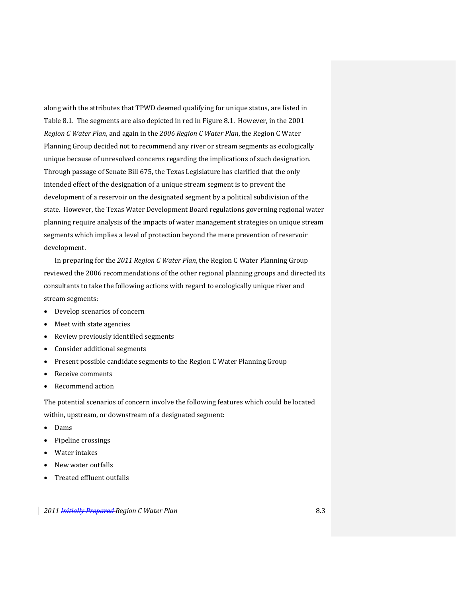along with the attributes that TPWD deemed qualifying for unique status, are listed in Table 8.1. The segments are also depicted in red in Figure 8.1. However, in the 2001 *Region C Water Plan*, and again in the *2006 Region C Water Plan*, the Region C Water Planning Group decided not to recommend any river or stream segments as ecologically unique because of unresolved concerns regarding the implications of such designation. Through passage of Senate Bill 675, the Texas Legislature has clarified that the only intended effect of the designation of a unique stream segment is to prevent the development of a reservoir on the designated segment by a political subdivision of the state. However, the Texas Water Development Board regulations governing regional water planning require analysis of the impacts of water management strategies on unique stream segments which implies a level of protection beyond the mere prevention of reservoir development.

In preparing for the *2011 Region C Water Plan*, the Region C Water Planning Group reviewed the 2006 recommendations of the other regional planning groups and directed its consultants to take the following actions with regard to ecologically unique river and stream segments:

- Develop scenarios of concern
- Meet with state agencies
- Review previously identified segments
- Consider additional segments
- Present possible candidate segments to the Region C Water Planning Group
- Receive comments
- Recommend action

The potential scenarios of concern involve the following features which could be located within, upstream, or downstream of a designated segment:

- Dams
- Pipeline crossings
- Water intakes
- New water outfalls
- Treated effluent outfalls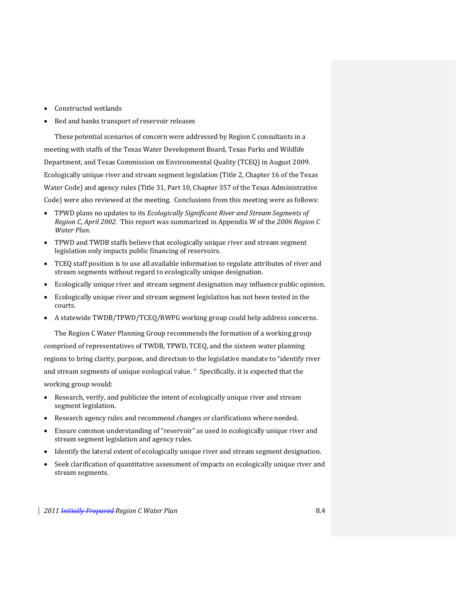- Constructed wetlands
- Bed and banks transport of reservoir releases

These potential scenarios of concern were addressed by Region C consultants in a meeting with staffs of the Texas Water Development Board, Texas Parks and Wildlife Department, and Texas Commission on Environmental Quality (TCEQ) in August 2009. Ecologically unique river and stream segment legislation (Title 2, Chapter 16 of the Texas Water Code) and agency rules (Title 31, Part 10, Chapter 357 of the Texas Administrative Code) were also reviewed at the meeting. Conclusions from this meeting were as follows:

- TPWD plans no updates to its *Ecologically Significant River and Stream Segments of Region C, April 2002*. This report was summarized in Appendix W of the *2006 Region C Water Plan*.
- TPWD and TWDB staffs believe that ecologically unique river and stream segment legislation only impacts public financing of reservoirs.
- TCEQ staff position is to use all available information to regulate attributes of river and stream segments without regard to ecologically unique designation.
- Ecologically unique river and stream segment designation may influence public opinion.
- Ecologically unique river and stream segment legislation has not been tested in the courts.
- A statewide TWDB/TPWD/TCEQ/RWPG working group could help address concerns.

The Region C Water Planning Group recommends the formation of a working group comprised of representatives of TWDB, TPWD, TCEQ, and the sixteen water planning regions to bring clarity, purpose, and direction to the legislative mandate to "identify river and stream segments of unique ecological value. " Specifically, it is expected that the working group would:

- Research, verify, and publicize the intent of ecologically unique river and stream segment legislation.
- Research agency rules and recommend changes or clarifications where needed.
- Ensure common understanding of "reservoir" as used in ecologically unique river and stream segment legislation and agency rules.
- Identify the lateral extent of ecologically unique river and stream segment designation.
- Seek clarification of quantitative assessment of impacts on ecologically unique river and stream segments.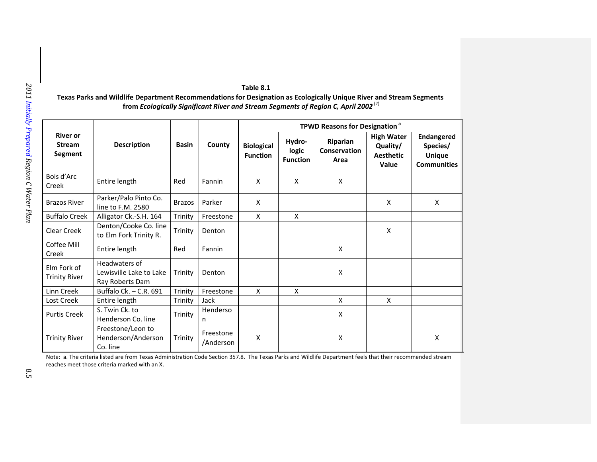| <b>River or</b><br><b>Stream</b><br><b>Segment</b> | <b>Description</b>                                          | <b>Basin</b>  | County                 | <b>TPWD Reasons for Designation<sup>a</sup></b> |                                    |                                  |                                                            |                                                                      |
|----------------------------------------------------|-------------------------------------------------------------|---------------|------------------------|-------------------------------------------------|------------------------------------|----------------------------------|------------------------------------------------------------|----------------------------------------------------------------------|
|                                                    |                                                             |               |                        | <b>Biological</b><br><b>Function</b>            | Hydro-<br>logic<br><b>Function</b> | Riparian<br>Conservation<br>Area | <b>High Water</b><br>Quality/<br><b>Aesthetic</b><br>Value | <b>Endangered</b><br>Species/<br><b>Unique</b><br><b>Communities</b> |
| Bois d'Arc<br>Creek                                | Entire length                                               | Red           | Fannin                 | X                                               | X                                  | X                                |                                                            |                                                                      |
| <b>Brazos River</b>                                | Parker/Palo Pinto Co.<br>line to F.M. 2580                  | <b>Brazos</b> | Parker                 | X                                               |                                    |                                  | X                                                          | X                                                                    |
| <b>Buffalo Creek</b>                               | Alligator Ck.-S.H. 164                                      | Trinity       | Freestone              | X                                               | X                                  |                                  |                                                            |                                                                      |
| Clear Creek                                        | Denton/Cooke Co. line<br>to Elm Fork Trinity R.             | Trinity       | Denton                 |                                                 |                                    |                                  | X                                                          |                                                                      |
| Coffee Mill<br>Creek                               | Entire length                                               | Red           | Fannin                 |                                                 |                                    | X                                |                                                            |                                                                      |
| Elm Fork of<br><b>Trinity River</b>                | Headwaters of<br>Lewisville Lake to Lake<br>Ray Roberts Dam | Trinity       | Denton                 |                                                 |                                    | X                                |                                                            |                                                                      |
| Linn Creek                                         | Buffalo Ck. - C.R. 691                                      | Trinity       | Freestone              | X                                               | X                                  |                                  |                                                            |                                                                      |
| Lost Creek                                         | Entire length                                               | Trinity       | Jack                   |                                                 |                                    | X                                | X                                                          |                                                                      |
| <b>Purtis Creek</b>                                | S. Twin Ck. to<br>Henderson Co. line                        | Trinity       | Henderso<br>n          |                                                 |                                    | X                                |                                                            |                                                                      |
| <b>Trinity River</b>                               | Freestone/Leon to<br>Henderson/Anderson<br>Co. line         | Trinity       | Freestone<br>/Anderson | X                                               |                                    | X                                |                                                            | X                                                                    |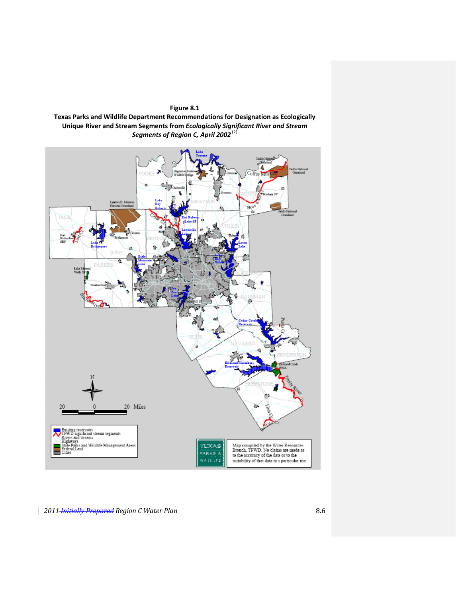

**Texas Parks and Wildlife Department Recommendations for Designation as Ecologically Unique River and Stream Segments from** *Ecologically Significant River and Stream Segments of Region C, April 2002* (2)

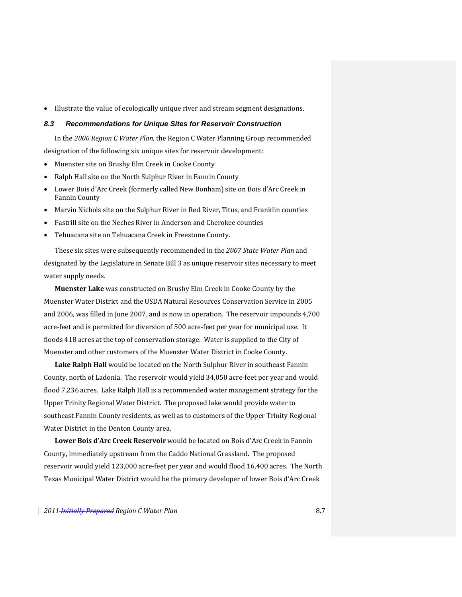Illustrate the value of ecologically unique river and stream segment designations.

#### *8.3 Recommendations for Unique Sites for Reservoir Construction*

In the *2006 Region C Water Plan*, the Region C Water Planning Group recommended designation of the following six unique sites for reservoir development:

- Muenster site on Brushy Elm Creek in Cooke County
- Ralph Hall site on the North Sulphur River in Fannin County
- Lower Bois d'Arc Creek (formerly called New Bonham) site on Bois d'Arc Creek in Fannin County
- Marvin Nichols site on the Sulphur River in Red River, Titus, and Franklin counties
- Fastrill site on the Neches River in Anderson and Cherokee counties
- Tehuacana site on Tehuacana Creek in Freestone County.

These six sites were subsequently recommended in the *2007 State Water Plan* and designated by the Legislature in Senate Bill 3 as unique reservoir sites necessary to meet water supply needs.

**Muenster Lake** was constructed on Brushy Elm Creek in Cooke County by the Muenster Water District and the USDA Natural Resources Conservation Service in 2005 and 2006, was filled in June 2007, and is now in operation. The reservoir impounds 4,700 acre‐feet and is permitted for diversion of 500 acre‐feet per year for municipal use. It floods 418 acres at the top of conservation storage. Water is supplied to the City of Muenster and other customers of the Muenster Water District in Cooke County.

**Lake Ralph Hall** would be located on the North Sulphur River in southeast Fannin County, north of Ladonia. The reservoir would yield 34,050 acre‐feet per year and would flood 7,236 acres. Lake Ralph Hall is a recommended water management strategy for the Upper Trinity Regional Water District. The proposed lake would provide water to southeast Fannin County residents, as well as to customers of the Upper Trinity Regional Water District in the Denton County area.

**Lower Bois d'Arc Creek Reservoir** would be located on Bois d'Arc Creek in Fannin County, immediately upstream from the Caddo National Grassland. The proposed reservoir would yield 123,000 acre‐feet per year and would flood 16,400 acres. The North Texas Municipal Water District would be the primary developer of lower Bois d'Arc Creek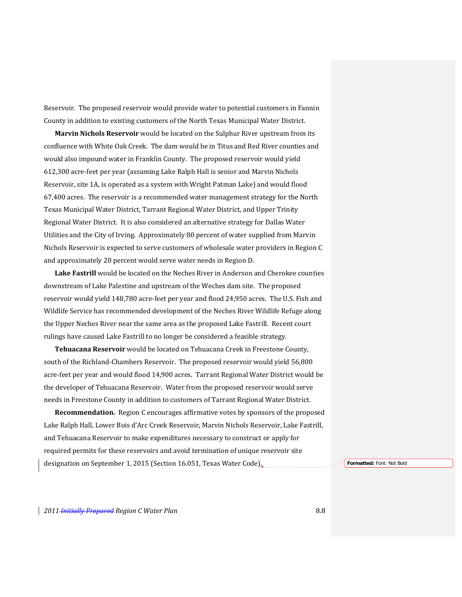Reservoir. The proposed reservoir would provide water to potential customers in Fannin County in addition to existing customers of the North Texas Municipal Water District.

**Marvin Nichols Reservoir** would be located on the Sulphur River upstream from its confluence with White Oak Creek. The dam would be in Titus and Red River counties and would also impound water in Franklin County. The proposed reservoir would yield 612,300 acre‐feet per year (assuming Lake Ralph Hall is senior and Marvin Nichols Reservoir, site 1A, is operated as a system with Wright Patman Lake) and would flood 67,400 acres. The reservoir is a recommended water management strategy for the North Texas Municipal Water District, Tarrant Regional Water District, and Upper Trinity Regional Water District. It is also considered an alternative strategy for Dallas Water Utilities and the City of Irving. Approximately 80 percent of water supplied from Marvin Nichols Reservoir is expected to serve customers of wholesale water providers in Region C and approximately 20 percent would serve water needs in Region D.

**Lake Fastrill** would be located on the Neches River in Anderson and Cherokee counties downstream of Lake Palestine and upstream of the Weches dam site. The proposed reservoir would yield 148,780 acre‐feet per year and flood 24,950 acres. The U.S. Fish and Wildlife Service has recommended development of the Neches River Wildlife Refuge along the Upper Neches River near the same area as the proposed Lake Fastrill. Recent court rulings have caused Lake Fastrill to no longer be considered a feasible strategy.

**Tehuacana Reservoir** would be located on Tehuacana Creek in Freestone County, south of the Richland‐Chambers Reservoir. The proposed reservoir would yield 56,800 acre‐feet per year and would flood 14,900 acres. Tarrant Regional Water District would be the developer of Tehuacana Reservoir. Water from the proposed reservoir would serve needs in Freestone County in addition to customers of Tarrant Regional Water District.

**Recommendation.** Region C encourages affirmative votes by sponsors of the proposed Lake Ralph Hall, Lower Bois d'Arc Creek Reservoir, Marvin Nichols Reservoir, Lake Fastrill, and Tehuacana Reservoir to make expenditures necessary to construct or apply for required permits for these reservoirs and avoid termination of unique reservoir site designation on September 1, 2015 (Section 16.051, Texas Water Code). *Formatted: Font: Not Bold*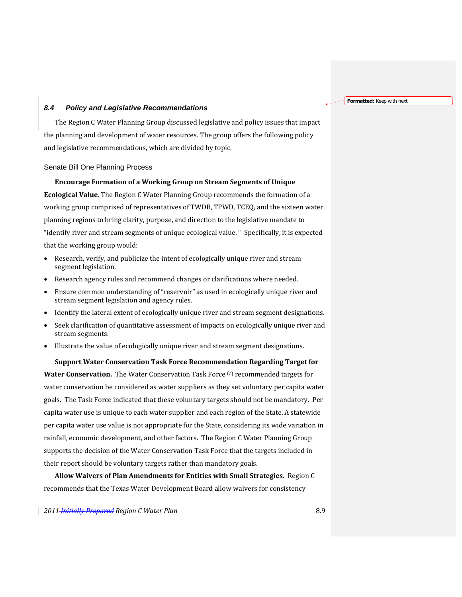**Formatted:** Keep with next

# *8.4 Policy and Legislative Recommendations*

The Region C Water Planning Group discussed legislative and policy issues that impact the planning and development of water resources. The group offers the following policy and legislative recommendations, which are divided by topic.

#### Senate Bill One Planning Process

**Encourage Formation of a Working Group on Stream Segments of Unique Ecological Value.** The Region C Water Planning Group recommends the formation of a working group comprised of representatives of TWDB, TPWD, TCEQ, and the sixteen water planning regions to bring clarity, purpose, and direction to the legislative mandate to "identify river and stream segments of unique ecological value. " Specifically, it is expected that the working group would:

- Research, verify, and publicize the intent of ecologically unique river and stream segment legislation.
- Research agency rules and recommend changes or clarifications where needed.
- Ensure common understanding of "reservoir" as used in ecologically unique river and stream segment legislation and agency rules.
- Identify the lateral extent of ecologically unique river and stream segment designations.
- Seek clarification of quantitative assessment of impacts on ecologically unique river and stream segments.
- Illustrate the value of ecologically unique river and stream segment designations.

#### **Support Water Conservation Task Force Recommendation Regarding Target for**

**Water Conservation.** The Water Conservation Task Force (7) recommended targets for water conservation be considered as water suppliers as they set voluntary per capita water goals. The Task Force indicated that these voluntary targets should not be mandatory. Per capita water use is unique to each water supplier and each region of the State. A statewide per capita water use value is not appropriate for the State, considering its wide variation in rainfall, economic development, and other factors. The Region C Water Planning Group supports the decision of the Water Conservation Task Force that the targets included in their report should be voluntary targets rather than mandatory goals.

**Allow Waivers of Plan Amendments for Entities with Small Strategies.** Region C recommends that the Texas Water Development Board allow waivers for consistency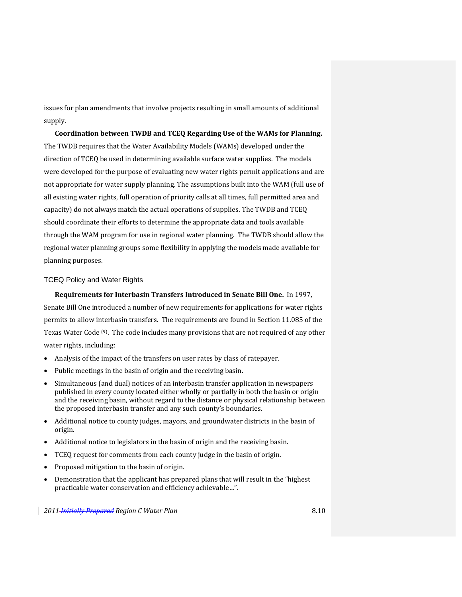issues for plan amendments that involve projects resulting in small amounts of additional supply.

**Coordination between TWDB and TCEQ Regarding Use of the WAMs for Planning.** The TWDB requires that the Water Availability Models (WAMs) developed under the direction of TCEQ be used in determining available surface water supplies. The models were developed for the purpose of evaluating new water rights permit applications and are not appropriate for water supply planning. The assumptions built into the WAM (full use of all existing water rights, full operation of priority calls at all times, full permitted area and capacity) do not always match the actual operations of supplies. The TWDB and TCEQ should coordinate their efforts to determine the appropriate data and tools available through the WAM program for use in regional water planning. The TWDB should allow the regional water planning groups some flexibility in applying the models made available for planning purposes.

## TCEQ Policy and Water Rights

## **Requirements for Interbasin Transfers Introduced in Senate Bill One.** In 1997,

Senate Bill One introduced a number of new requirements for applications for water rights permits to allow interbasin transfers. The requirements are found in Section 11.085 of the Texas Water Code (9). The code includes many provisions that are not required of any other water rights, including:

- Analysis of the impact of the transfers on user rates by class of ratepayer.
- Public meetings in the basin of origin and the receiving basin.
- Simultaneous (and dual) notices of an interbasin transfer application in newspapers published in every county located either wholly or partially in both the basin or origin and the receiving basin, without regard to the distance or physical relationship between the proposed interbasin transfer and any such county's boundaries.
- Additional notice to county judges, mayors, and groundwater districts in the basin of origin.
- Additional notice to legislators in the basin of origin and the receiving basin.
- TCEQ request for comments from each county judge in the basin of origin.
- Proposed mitigation to the basin of origin.
- Demonstration that the applicant has prepared plans that will result in the "highest practicable water conservation and efficiency achievable…".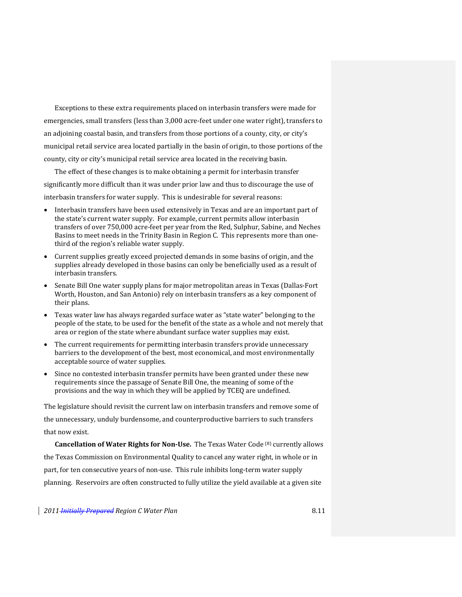Exceptions to these extra requirements placed on interbasin transfers were made for emergencies, small transfers (less than 3,000 acre‐feet under one water right), transfers to an adjoining coastal basin, and transfers from those portions of a county, city, or city's municipal retail service area located partially in the basin of origin, to those portions of the county, city or city's municipal retail service area located in the receiving basin.

The effect of these changes is to make obtaining a permit for interbasin transfer significantly more difficult than it was under prior law and thus to discourage the use of interbasin transfers for water supply. This is undesirable for several reasons:

- Interbasin transfers have been used extensively in Texas and are an important part of the state's current water supply. For example, current permits allow interbasin transfers of over 750,000 acre‐feet per year from the Red, Sulphur, Sabine, and Neches Basins to meet needs in the Trinity Basin in Region C. This represents more than one‐ third of the region's reliable water supply.
- Current supplies greatly exceed projected demands in some basins of origin, and the supplies already developed in those basins can only be beneficially used as a result of interbasin transfers.
- Senate Bill One water supply plans for major metropolitan areas in Texas (Dallas‐Fort Worth, Houston, and San Antonio) rely on interbasin transfers as a key component of their plans.
- Texas water law has always regarded surface water as "state water" belonging to the people of the state, to be used for the benefit of the state as a whole and not merely that area or region of the state where abundant surface water supplies may exist.
- The current requirements for permitting interbasin transfers provide unnecessary barriers to the development of the best, most economical, and most environmentally acceptable source of water supplies.
- Since no contested interbasin transfer permits have been granted under these new requirements since the passage of Senate Bill One, the meaning of some of the provisions and the way in which they will be applied by TCEQ are undefined.

The legislature should revisit the current law on interbasin transfers and remove some of the unnecessary, unduly burdensome, and counterproductive barriers to such transfers that now exist.

**Cancellation of Water Rights for NonUse.** The Texas Water Code (8) currently allows the Texas Commission on Environmental Quality to cancel any water right, in whole or in part, for ten consecutive years of non‐use. This rule inhibits long‐term water supply planning. Reservoirs are often constructed to fully utilize the yield available at a given site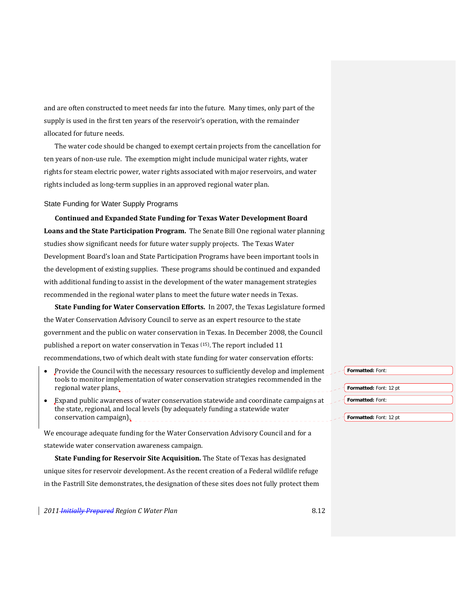and are often constructed to meet needs far into the future. Many times, only part of the supply is used in the first ten years of the reservoir's operation, with the remainder allocated for future needs.

The water code should be changed to exempt certain projects from the cancellation for ten years of non‐use rule. The exemption might include municipal water rights, water rights for steam electric power, water rights associated with major reservoirs, and water rights included as long‐term supplies in an approved regional water plan.

#### State Funding for Water Supply Programs

**Continued and Expanded State Funding for Texas Water Development Board Loans and the State Participation Program.** The Senate Bill One regional water planning studies show significant needs for future water supply projects. The Texas Water Development Board's loan and State Participation Programs have been important tools in the development of existing supplies. These programs should be continued and expanded with additional funding to assist in the development of the water management strategies recommended in the regional water plans to meet the future water needs in Texas.

**State Funding for Water Conservation Efforts.** In 2007, the Texas Legislature formed the Water Conservation Advisory Council to serve as an expert resource to the state government and the public on water conservation in Texas. In December 2008, the Council published a report on water conservation in Texas (15). The report included 11 recommendations, two of which dealt with state funding for water conservation efforts:

- Provide the Council with the necessary resources to sufficiently develop and implement tools to monitor implementation of water conservation strategies recommended in the regional water plans.
- Expand public awareness of water conservation statewide and coordinate campaigns at the state, regional, and local levels (by adequately funding a statewide water conservation campaign).

We encourage adequate funding for the Water Conservation Advisory Council and for a statewide water conservation awareness campaign.

**State Funding for Reservoir Site Acquisition.** The State of Texas has designated unique sites for reservoir development. As the recent creation of a Federal wildlife refuge in the Fastrill Site demonstrates, the designation of these sites does not fully protect them

*2011 Initially Prepared Region C Water Plan* 8.12

**Formatted:** Font: **Formatted:** Font: 12 pt **Formatted:** Font:

**Formatted:** Font: 12 pt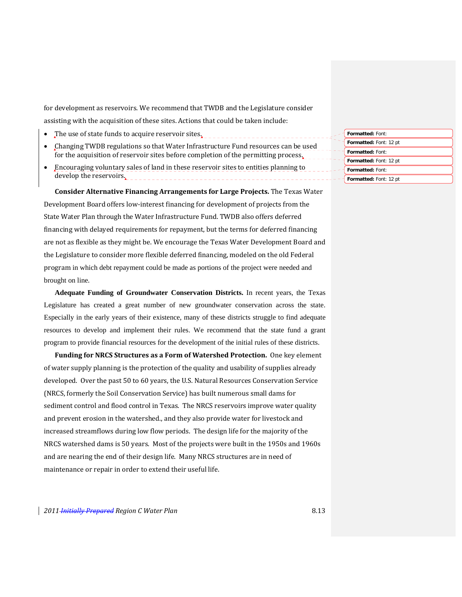for development as reservoirs. We recommend that TWDB and the Legislature consider assisting with the acquisition of these sites. Actions that could be taken include:

- The use of state funds to acquire reservoir sites.
- Changing TWDB regulations so that Water Infrastructure Fund resources can be used for the acquisition of reservoir sites before completion of the permitting process.
- Encouraging voluntary sales of land in these reservoir sites to entities planning to develop the reservoirs.

**Consider Alternative Financing Arrangements for Large Projects.** The Texas Water Development Board offers low‐interest financing for development of projects from the State Water Plan through the Water Infrastructure Fund. TWDB also offers deferred financing with delayed requirements for repayment, but the terms for deferred financing are not as flexible as they might be. We encourage the Texas Water Development Board and the Legislature to consider more flexible deferred financing, modeled on the old Federal program in which debt repayment could be made as portions of the project were needed and brought on line.

**Adequate Funding of Groundwater Conservation Districts.** In recent years, the Texas Legislature has created a great number of new groundwater conservation across the state. Especially in the early years of their existence, many of these districts struggle to find adequate resources to develop and implement their rules. We recommend that the state fund a grant program to provide financial resources for the development of the initial rules of these districts.

**Funding for NRCS Structures as a Form of Watershed Protection.** One key element of water supply planning is the protection of the quality and usability of supplies already developed. Over the past 50 to 60 years, the U.S. Natural Resources Conservation Service (NRCS, formerly the Soil Conservation Service) has built numerous small dams for sediment control and flood control in Texas. The NRCS reservoirs improve water quality and prevent erosion in the watershed., and they also provide water for livestock and increased streamflows during low flow periods. The design life for the majority of the NRCS watershed dams is 50 years. Most of the projects were built in the 1950s and 1960s and are nearing the end of their design life. Many NRCS structures are in need of maintenance or repair in order to extend their useful life.

**Formatted:** Font: **Formatted:** Font: 12 pt **Formatted:** Font: **Formatted:** Font: 12 pt **Formatted:** Font: **Formatted:** Font: 12 pt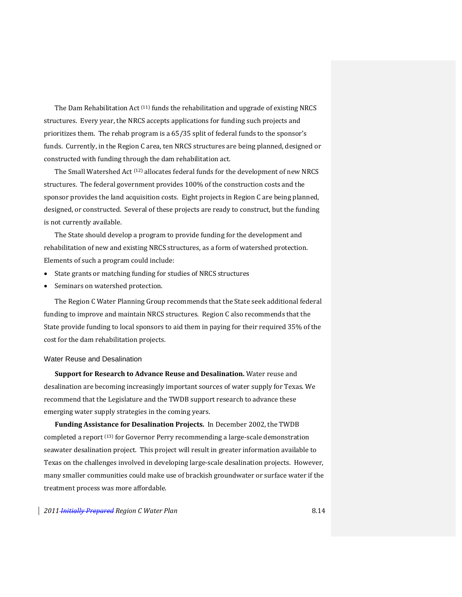The Dam Rehabilitation Act <sup>(11)</sup> funds the rehabilitation and upgrade of existing NRCS structures. Every year, the NRCS accepts applications for funding such projects and prioritizes them. The rehab program is a 65/35 split of federal funds to the sponsor's funds. Currently, in the Region C area, ten NRCS structures are being planned, designed or constructed with funding through the dam rehabilitation act.

The Small Watershed Act  $(12)$  allocates federal funds for the development of new NRCS structures. The federal government provides 100% of the construction costs and the sponsor provides the land acquisition costs. Eight projects in Region C are being planned, designed, or constructed. Several of these projects are ready to construct, but the funding is not currently available.

The State should develop a program to provide funding for the development and rehabilitation of new and existing NRCS structures, as a form of watershed protection. Elements of such a program could include:

- State grants or matching funding for studies of NRCS structures
- Seminars on watershed protection.

The Region C Water Planning Group recommends that the State seek additional federal funding to improve and maintain NRCS structures. Region C also recommends that the State provide funding to local sponsors to aid them in paying for their required 35% of the cost for the dam rehabilitation projects.

#### Water Reuse and Desalination

**Support for Research to Advance Reuse and Desalination.** Water reuse and desalination are becoming increasingly important sources of water supply for Texas. We recommend that the Legislature and the TWDB support research to advance these emerging water supply strategies in the coming years.

**Funding Assistance for Desalination Projects.** In December 2002, the TWDB completed a report (13) for Governor Perry recommending a large‐scale demonstration seawater desalination project. This project will result in greater information available to Texas on the challenges involved in developing large‐scale desalination projects. However, many smaller communities could make use of brackish groundwater or surface water if the treatment process was more affordable.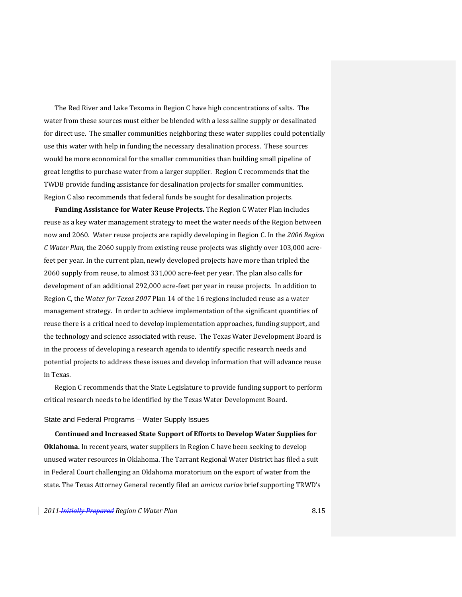The Red River and Lake Texoma in Region C have high concentrations of salts. The water from these sources must either be blended with a less saline supply or desalinated for direct use. The smaller communities neighboring these water supplies could potentially use this water with help in funding the necessary desalination process. These sources would be more economical for the smaller communities than building small pipeline of great lengths to purchase water from a larger supplier. Region C recommends that the TWDB provide funding assistance for desalination projects for smaller communities. Region C also recommends that federal funds be sought for desalination projects.

**Funding Assistance for Water Reuse Projects.** The Region C Water Plan includes reuse as a key water management strategy to meet the water needs of the Region between now and 2060. Water reuse projects are rapidly developing in Region C. In the *2006 Region C Water Plan*, the 2060 supply from existing reuse projects was slightly over 103,000 acre‐ feet per year. In the current plan, newly developed projects have more than tripled the 2060 supply from reuse, to almost 331,000 acre‐feet per year. The plan also calls for development of an additional 292,000 acre‐feet per year in reuse projects. In addition to Region C, the W*ater for Texas 2007* Plan 14 of the 16 regions included reuse as a water management strategy. In order to achieve implementation of the significant quantities of reuse there is a critical need to develop implementation approaches, funding support, and the technology and science associated with reuse. The Texas Water Development Board is in the process of developing a research agenda to identify specific research needs and potential projects to address these issues and develop information that will advance reuse in Texas.

Region C recommends that the State Legislature to provide funding support to perform critical research needs to be identified by the Texas Water Development Board.

#### State and Federal Programs – Water Supply Issues

**Continued and Increased State Support of Efforts to Develop Water Supplies for Oklahoma.** In recent years, water suppliers in Region C have been seeking to develop unused water resources in Oklahoma. The Tarrant Regional Water District has filed a suit in Federal Court challenging an Oklahoma moratorium on the export of water from the state. The Texas Attorney General recently filed an *amicus curiae* brief supporting TRWD's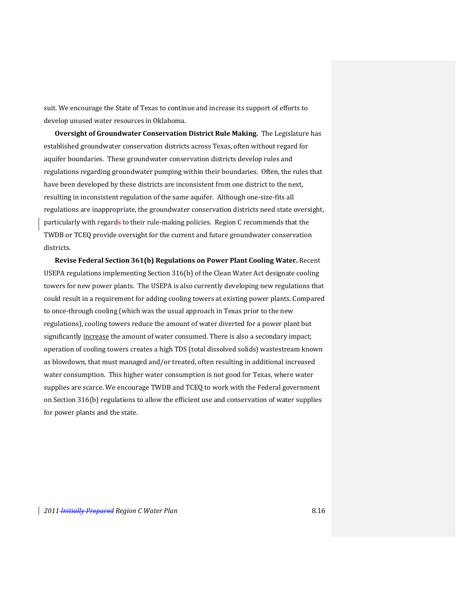suit. We encourage the State of Texas to continue and increase its support of efforts to develop unused water resources in Oklahoma.

**Oversight of Groundwater Conservation District Rule Making.** The Legislature has established groundwater conservation districts across Texas, often without regard for aquifer boundaries. These groundwater conservation districts develop rules and regulations regarding groundwater pumping within their boundaries. Often, the rules that have been developed by these districts are inconsistent from one district to the next, resulting in inconsistent regulation of the same aquifer. Although one‐size‐fits all regulations are inappropriate, the groundwater conservation districts need state oversight, particularly with regards to their rule-making policies. Region C recommends that the TWDB or TCEQ provide oversight for the current and future groundwater conservation districts.

**Revise Federal Section 361(b) Regulations on Power Plant Cooling Water.** Recent USEPA regulations implementing Section 316(b) of the Clean Water Act designate cooling towers for new power plants. The USEPA is also currently developing new regulations that could result in a requirement for adding cooling towers at existing power plants. Compared to once-through cooling (which was the usual approach in Texas prior to the new regulations), cooling towers reduce the amount of water diverted for a power plant but significantly increase the amount of water consumed. There is also a secondary impact; operation of cooling towers creates a high TDS (total dissolved solids) wastestream known as blowdown, that must managed and/or treated, often resulting in additional increased water consumption. This higher water consumption is not good for Texas, where water supplies are scarce. We encourage TWDB and TCEQ to work with the Federal government on Section 316(b) regulations to allow the efficient use and conservation of water supplies for power plants and the state.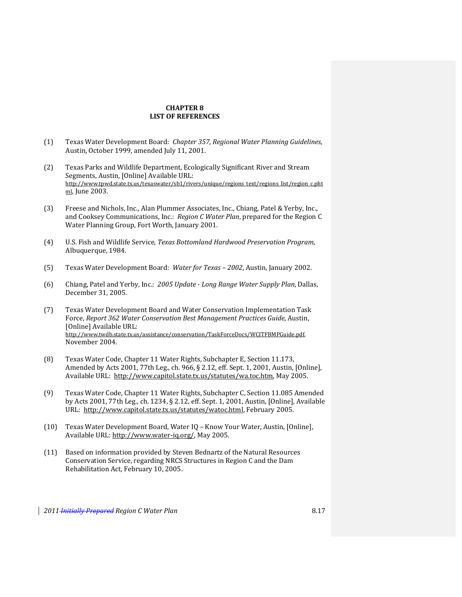# **CHAPTER 8 LIST OF REFERENCES**

- (1) Texas Water Development Board: *Chapter 357, Regional Water Planning Guidelines*, Austin, October 1999, amended July 11, 2001.
- (2) Texas Parks and Wildlife Department, Ecologically Significant River and Stream Segments, Austin, [Online] Available URL: http://www.tpwd.state.tx.us/texaswater/sb1/rivers/unique/regions\_text/regions\_list/region\_c.pht ml, June 2003.
- (3) Freese and Nichols, Inc., Alan Plummer Associates, Inc., Chiang, Patel & Yerby, Inc., and Cooksey Communications, Inc.: *Region C Water Plan*, prepared for the Region C Water Planning Group, Fort Worth, January 2001.
- (4) U.S. Fish and Wildlife Service, *Texas Bottomland Hardwood Preservation Program*, Albuquerque, 1984.
- (5) Texas Water Development Board: *Water for Texas – 2002*, Austin, January 2002.
- (6) Chiang, Patel and Yerby, Inc.: *2005 Update Long Range Water Supply Plan*, Dallas, December 31, 2005.
- (7) Texas Water Development Board and Water Conservation Implementation Task Force, *Report 362 Water Conservation Best Management Practices Guide*, Austin, [Online] Available URL: http://www.twdb.state.tx.us/assistance/conservation/TaskForceDocs/WCITFBMPGuide.pdf, November 2004.
- (8) Texas Water Code, Chapter 11 Water Rights, Subchapter E, Section 11.173, Amended by Acts 2001, 77th Leg., ch. 966, § 2.12, eff. Sept. 1, 2001, Austin, [Online], Available URL: http://www.capitol.state.tx.us/statutes/wa.toc.htm, May 2005.
- (9) Texas Water Code, Chapter 11 Water Rights, Subchapter C, Section 11.085 Amended by Acts 2001, 77th Leg., ch. 1234, § 2.12, eff. Sept. 1, 2001, Austin, [Online], Available URL: http://www.capitol.state.tx.us/statutes/watoc.html, February 2005.
- (10) Texas Water Development Board, Water IQ Know Your Water, Austin, [Online], Available URL: http://www.water‐iq.org/, May 2005.
- (11) Based on information provided by Steven Bednartz of the Natural Resources Conservation Service, regarding NRCS Structures in Region C and the Dam Rehabilitation Act, February 10, 2005.